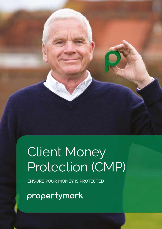# Client Money Protection (CMP)

ENSURE YOUR MONEY IS PROTECTED

propertymark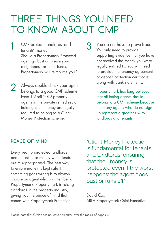## THREE THINGS YOU NEED TO KNOW ABOUT CMP

- 1 CMP protects landlords' and<br>tenants' monev tenants' money Should a Propertymark Protected agent go bust or misuse your rent, deposit or other funds, Propertymark will reimburse you.\*
- along with bank statements. Always double check your agent belongs to a good CMP scheme From 1 April 2019 property agents in the private rented sector holding client money are legally required to belong to a Client Money Protection scheme. 2
- You do not have to prove fraud You only need to provide supporting evidence that you have not received the money you were legally entitled to. You will need to provide the tenancy agreement or deposit protection certificate

Propertymark has long believed that all letting agents should belong to a CMP scheme because the many agents who do not sign up represent a greater risk to landlords and tenants.

### **PEACE OF MIND**

Every year, unprotected landlords and tenants lose money when funds are misappropriated. The best way to ensure money is kept safe if something goes wrong is to always choose an agent who is a member of Propertymark. Propertymark is raising standards in the property industry, giving you the peace of mind that comes with Propertymark Protection.

"Client Money Protection is fundamental for tenants and landlords, ensuring that their money is protected even if the worst happens: the agent goes bust or runs off."

David Cox ARLA Propertymark Chief Executive

Please note that CMP does not cover disputes over the return of deposits.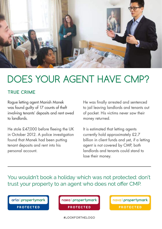

### DOES YOUR AGENT HAVE CMP?

### **TRUE CRIME**

Rogue letting agent Manish Manek was found guilty of 17 counts of theft involving tenants' deposits and rent owed to landlords.

He stole £47,000 before fleeing the UK in October 2012. A police investigation found that Manek had been putting tenant deposits and rent into his personal account.

He was finally arrested and sentenced to jail leaving landlords and tenants out of pocket. His victims never saw their money returned.

It is estimated that letting agents currently hold approximately £2.7 billion in client funds and yet, if a letting agent is not covered by CMP, both landlords and tenants could stand to lose their money.

You wouldn't book a holiday which was not protected: don't trust your property to an agent who does not offer CMP.